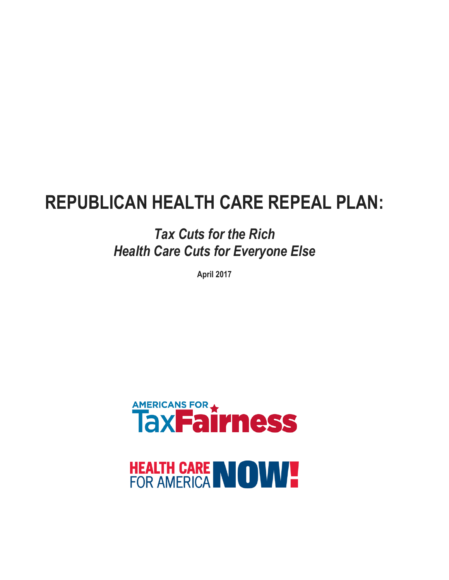# **REPUBLICAN HEALTH CARE REPEAL PLAN:**

*Tax Cuts for the Rich Health Care Cuts for Everyone Else*

**April 2017**



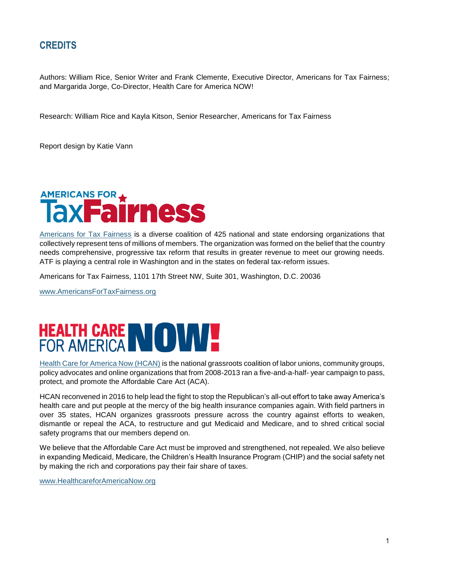## **CREDITS**

Authors: William Rice, Senior Writer and Frank Clemente, Executive Director, Americans for Tax Fairness; and Margarida Jorge, Co-Director, Health Care for America NOW!

Research: William Rice and Kayla Kitson, Senior Researcher, Americans for Tax Fairness

Report design by Katie Vann



[Americans for Tax Fairness](https://americansfortaxfairness.org/) is a diverse coalition of 425 national and state endorsing organizations that collectively represent tens of millions of members. The organization was formed on the belief that the country needs comprehensive, progressive tax reform that results in greater revenue to meet our growing needs. ATF is playing a central role in Washington and in the states on federal tax-reform issues.

Americans for Tax Fairness, 1101 17th Street NW, Suite 301, Washington, D.C. 20036

[www.AmericansForTaxFairness.org](http://www.americansfortaxfairness.org/)



[Health Care for America Now \(HCAN\)](http://www.healthcareforamericanow.org/) is the national grassroots coalition of labor unions, community groups, policy advocates and online organizations that from 2008-2013 ran a five-and-a-half- year campaign to pass, protect, and promote the Affordable Care Act (ACA).

HCAN reconvened in 2016 to help lead the fight to stop the Republican's all-out effort to take away America's health care and put people at the mercy of the big health insurance companies again. With field partners in over 35 states, HCAN organizes grassroots pressure across the country against efforts to weaken, dismantle or repeal the ACA, to restructure and gut Medicaid and Medicare, and to shred critical social safety programs that our members depend on.

We believe that the Affordable Care Act must be improved and strengthened, not repealed. We also believe in expanding Medicaid, Medicare, the Children's Health Insurance Program (CHIP) and the social safety net by making the rich and corporations pay their fair share of taxes.

[www.HealthcareforAmericaNow.org](http://www.healthcareforamericanow.org/)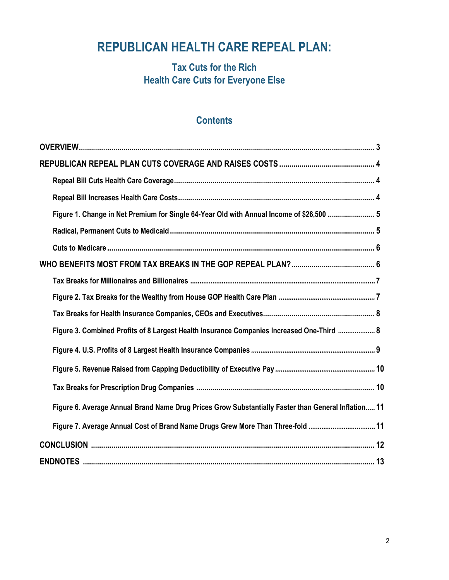## **REPUBLICAN HEALTH CARE REPEAL PLAN:**

## **Tax Cuts for the Rich Health Care Cuts for Everyone Else**

## **Contents**

| Figure 1. Change in Net Premium for Single 64-Year Old with Annual Income of \$26,500  5            |
|-----------------------------------------------------------------------------------------------------|
|                                                                                                     |
|                                                                                                     |
|                                                                                                     |
|                                                                                                     |
|                                                                                                     |
|                                                                                                     |
| Figure 3. Combined Profits of 8 Largest Health Insurance Companies Increased One-Third  8           |
|                                                                                                     |
|                                                                                                     |
|                                                                                                     |
| Figure 6. Average Annual Brand Name Drug Prices Grow Substantially Faster than General Inflation 11 |
| Figure 7. Average Annual Cost of Brand Name Drugs Grew More Than Three-fold 11                      |
|                                                                                                     |
|                                                                                                     |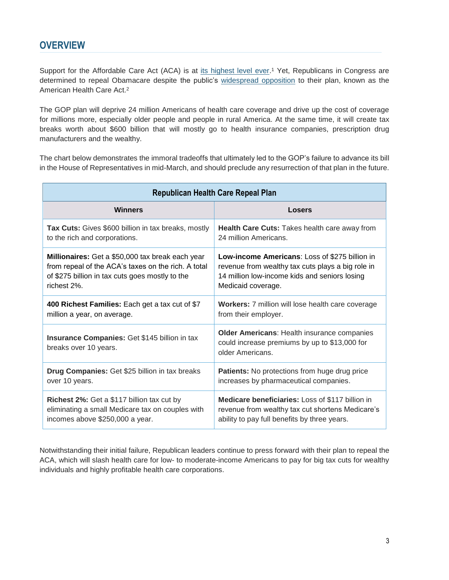Support for the Affordable Care Act (ACA) is at [its highest level ever.](http://www.gallup.com/poll/207671/affordable-care-act-gains-majority-approval-first-time.aspx)<sup>1</sup> Yet, Republicans in Congress are determined to repeal Obamacare despite the public's [widespread opposition](https://poll.qu.edu/national/release-detail?ReleaseID=2443) to their plan, known as the American Health Care Act. 2

The GOP plan will deprive 24 million Americans of health care coverage and drive up the cost of coverage for millions more, especially older people and people in rural America. At the same time, it will create tax breaks worth about \$600 billion that will mostly go to health insurance companies, prescription drug manufacturers and the wealthy.

The chart below demonstrates the immoral tradeoffs that ultimately led to the GOP's failure to advance its bill in the House of Representatives in mid-March, and should preclude any resurrection of that plan in the future.

| <b>Republican Health Care Repeal Plan</b>                                     |                                                                                                                         |  |  |
|-------------------------------------------------------------------------------|-------------------------------------------------------------------------------------------------------------------------|--|--|
| <b>Winners</b>                                                                | Losers                                                                                                                  |  |  |
| Tax Cuts: Gives \$600 billion in tax breaks, mostly                           | Health Care Cuts: Takes health care away from                                                                           |  |  |
| to the rich and corporations.                                                 | 24 million Americans.                                                                                                   |  |  |
| Millionaires: Get a \$50,000 tax break each year                              | <b>Low-income Americans: Loss of \$275 billion in</b>                                                                   |  |  |
| from repeal of the ACA's taxes on the rich. A total                           | revenue from wealthy tax cuts plays a big role in                                                                       |  |  |
| of \$275 billion in tax cuts goes mostly to the                               | 14 million low-income kids and seniors losing                                                                           |  |  |
| richest 2%.                                                                   | Medicaid coverage.                                                                                                      |  |  |
| 400 Richest Families: Each get a tax cut of \$7                               | Workers: 7 million will lose health care coverage                                                                       |  |  |
| million a year, on average.                                                   | from their employer.                                                                                                    |  |  |
| <b>Insurance Companies: Get \$145 billion in tax</b><br>breaks over 10 years. | <b>Older Americans: Health insurance companies</b><br>could increase premiums by up to \$13,000 for<br>older Americans. |  |  |
| Drug Companies: Get \$25 billion in tax breaks                                | <b>Patients:</b> No protections from huge drug price                                                                    |  |  |
| over 10 years.                                                                | increases by pharmaceutical companies.                                                                                  |  |  |
| <b>Richest 2%:</b> Get a \$117 billion tax cut by                             | <b>Medicare beneficiaries:</b> Loss of \$117 billion in                                                                 |  |  |
| eliminating a small Medicare tax on couples with                              | revenue from wealthy tax cut shortens Medicare's                                                                        |  |  |
| incomes above \$250,000 a year.                                               | ability to pay full benefits by three years.                                                                            |  |  |

Notwithstanding their initial failure, Republican leaders continue to press forward with their plan to repeal the ACA, which will slash health care for low- to moderate-income Americans to pay for big tax cuts for wealthy individuals and highly profitable health care corporations.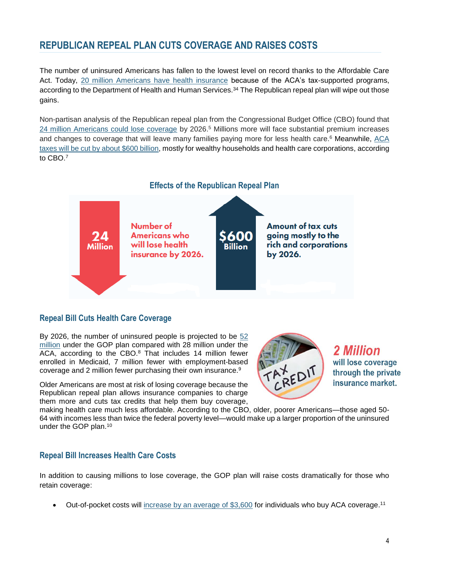## **REPUBLICAN REPEAL PLAN CUTS COVERAGE AND RAISES COSTS**

The number of uninsured Americans has fallen to the lowest level on record thanks to the Affordable Care Act. Today, [20 million Americans have health insurance](https://aspe.hhs.gov/system/files/pdf/187551/ACA2010-2016.pdf) because of the ACA's tax-supported programs, according to the Department of Health and Human Services.<sup>34</sup> The Republican repeal plan will wipe out those gains.

Non-partisan analysis of the Republican repeal plan from the Congressional Budget Office (CBO) found that [24 million Americans could lose coverage](https://www.cbo.gov/system/files/115th-congress-2017-2018/costestimate/americanhealthcareact.pdf) by 2026.<sup>5</sup> Millions more will face substantial premium increases and changes to coverage that will leave many families paying more for less health care.<sup>6</sup> Meanwhile, ACA taxes will [be cut by about \\$600 billion,](https://www.usatoday.com/story/news/politics/2017/03/07/health-bills-tax-cuts-worth-600-billion-mostly-corporations-and-rich/98866386/) mostly for wealthy households and health care corporations, according to CBO. 7



#### **Repeal Bill Cuts Health Care Coverage**

By 2026, the number of uninsured people is projected to be [52](https://www.cbo.gov/publication/52486)  [million](https://www.cbo.gov/publication/52486) under the GOP plan compared with 28 million under the ACA, according to the CBO.<sup>8</sup> That includes 14 million fewer enrolled in Medicaid, 7 million fewer with employment-based coverage and 2 million fewer purchasing their own insurance.<sup>9</sup>

Older Americans are most at risk of losing coverage because the Republican repeal plan allows insurance companies to charge them more and cuts tax credits that help them buy coverage,

2 Million will lose coverage through the private insurance market.

making health care much less affordable. According to the CBO, older, poorer Americans—those aged 50- 64 with incomes less than twice the federal poverty level—would make up a larger proportion of the uninsured under the GOP plan.<sup>10</sup>

#### **Repeal Bill Increases Health Care Costs**

In addition to causing millions to lose coverage, the GOP plan will raise costs dramatically for those who retain coverage:

• Out-of-pocket costs will increase by an average of  $$3,600$  for individuals who buy ACA coverage.<sup>11</sup>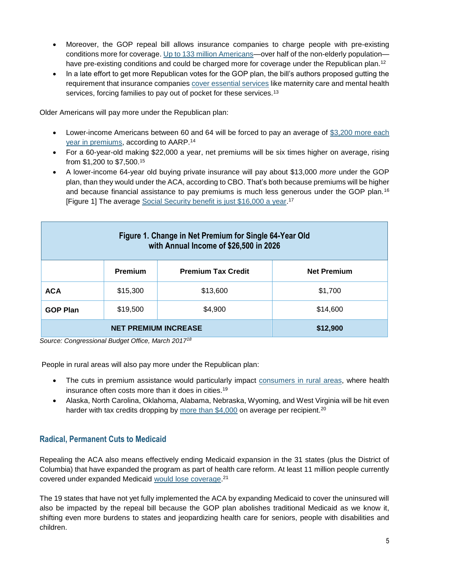- Moreover, the GOP repeal bill allows insurance companies to charge people with pre-existing conditions more for coverage. [Up to 133 million Americans—](https://aspe.hhs.gov/system/files/pdf/255396/Pre-ExistingConditions.pdf)over half of the non-elderly population have pre-existing conditions and could be charged more for coverage under the Republican plan.<sup>12</sup>
- In a late effort to get more Republican votes for the GOP plan, the bill's authors proposed gutting the requirement that insurance companies [cover essential services](http://www.latimes.com/business/hiltzik/la-fi-hiltzik-essential-health-benefits-20170322-story.html) like maternity care and mental health services, forcing families to pay out of pocket for these services.<sup>13</sup>

Older Americans will pay more under the Republican plan:

- Lower-income Americans between 60 and 64 will be forced to pay an average of \$3,200 more each [year in premiums,](http://www.aarp.org/content/dam/aarp/ppi/2017-01/Final_Spotlight_Age_Rating_Feb7.pdf) according to AARP.<sup>14</sup>
- For a 60-year-old making \$22,000 a year, net premiums will be six times higher on average, rising from \$1,200 to \$7,500.<sup>15</sup>
- A lower-income 64-year old buying private insurance will pay about \$13,000 *more* under the GOP plan, than they would under the ACA, according to CBO. That's both because premiums will be higher and because financial assistance to pay premiums is much less generous under the GOP plan.<sup>16</sup> [Figure 1] The average [Social Security benefit is just \\$16,000 a year.](https://www.ssa.gov/news/press/factsheets/basicfact-alt.pdf)<sup>17</sup>

| Figure 1. Change in Net Premium for Single 64-Year Old<br>with Annual Income of \$26,500 in 2026 |                |                           |                    |
|--------------------------------------------------------------------------------------------------|----------------|---------------------------|--------------------|
|                                                                                                  | <b>Premium</b> | <b>Premium Tax Credit</b> | <b>Net Premium</b> |
| <b>ACA</b>                                                                                       | \$15,300       | \$13,600                  | \$1,700            |
| <b>GOP Plan</b>                                                                                  | \$19,500       | \$4,900                   | \$14,600           |
| <b>NET PREMIUM INCREASE</b>                                                                      |                |                           | \$12,900           |

*Source: Congressional Budget Office, March 2017<sup>18</sup>*

People in rural areas will also pay more under the Republican plan:

- The cuts in premium assistance would particularly impact consumers [in rural areas,](https://www.wsj.com/articles/gop-health-plan-would-hit-rural-areas-hard-1489364405) where health insurance often costs more than it does in cities.<sup>19</sup>
- Alaska, North Carolina, Oklahoma, Alabama, Nebraska, Wyoming, and West Virginia will be hit even harder with tax credits dropping by [more than \\$4,000](http://www.cbpp.org/research/health/house-tax-credits-would-make-health-insurance-far-less-affordable-in-high-cost) on average per recipient.<sup>20</sup>

#### **Radical, Permanent Cuts to Medicaid**

Repealing the ACA also means effectively ending Medicaid expansion in the 31 states (plus the District of Columbia) that have expanded the program as part of health care reform. At least 11 million people currently covered under expanded Medicaid would [lose coverage.](http://www.cbpp.org/sites/default/files/atoms/files/12-22-16health.pdf)<sup>21</sup>

The 19 states that have not yet fully implemented the ACA by expanding Medicaid to cover the uninsured will also be impacted by the repeal bill because the GOP plan abolishes traditional Medicaid as we know it, shifting even more burdens to states and jeopardizing health care for seniors, people with disabilities and children.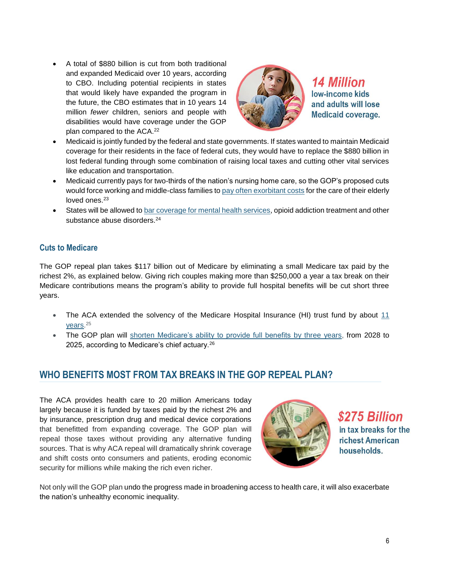A total of \$880 billion is cut from both traditional and expanded Medicaid over 10 years, according to CBO. Including potential recipients in states that would likely have expanded the program in the future, the CBO estimates that in 10 years 14 million *fewer* children, seniors and people with disabilities would have coverage under the GOP plan compared to the ACA. 22



**14 Million** low-income kids and adults will lose **Medicaid coverage.** 

- Medicaid is jointly funded by the federal and state governments. If states wanted to maintain Medicaid coverage for their residents in the face of federal cuts, they would have to replace the \$880 billion in lost federal funding through some combination of raising local taxes and cutting other vital services like education and transportation.
- Medicaid currently pays for two-thirds of the nation's nursing home care, so the GOP's proposed cuts would force working and middle-class families to [pay often exorbitant costs](https://www.nytimes.com/2017/03/27/health/medicaid-obamacare.html) for the care of their elderly loved ones 23
- States will be allowed t[o bar coverage for mental health services,](http://www.cnn.com/2017/03/11/politics/donald-trump-medicaid-cuts-opioids/) opioid addiction treatment and other substance abuse disorders.<sup>24</sup>

#### **Cuts to Medicare**

The GOP repeal plan takes \$117 billion out of Medicare by eliminating a small Medicare tax paid by the richest 2%, as explained below. Giving rich couples making more than \$250,000 a year a tax break on their Medicare contributions means the program's ability to provide full hospital benefits will be cut short three years.

- The ACA extended the solvency of the Medicare Hospital Insurance (HI) trust fund by about [11](http://www.cbpp.org/blog/house-republican-health-plan-would-weaken-medicare)  [years.](http://www.cbpp.org/blog/house-republican-health-plan-would-weaken-medicare) 25
- The GOP plan will [shorten Medicare's ability to provide full benefits by three years,](https://www.finance.senate.gov/imo/media/doc/CMS%20Medicare%20solvency%20letter%20Final%20Signed.pdf) from 2028 to 2025, according to Medicare's chief actuary.<sup>26</sup>

#### **WHO BENEFITS MOST FROM TAX BREAKS IN THE GOP REPEAL PLAN?**

The ACA provides health care to 20 million Americans today largely because it is funded by taxes paid by the richest 2% and by insurance, prescription drug and medical device corporations that benefitted from expanding coverage. The GOP plan will repeal those taxes without providing any alternative funding sources. That is why ACA repeal will dramatically shrink coverage and shift costs onto consumers and patients, eroding economic security for millions while making the rich even richer.



\$275 Billion in tax breaks for the richest American households.

Not only will the GOP plan undo the progress made in broadening access to health care, it will also exacerbate the nation's unhealthy economic inequality.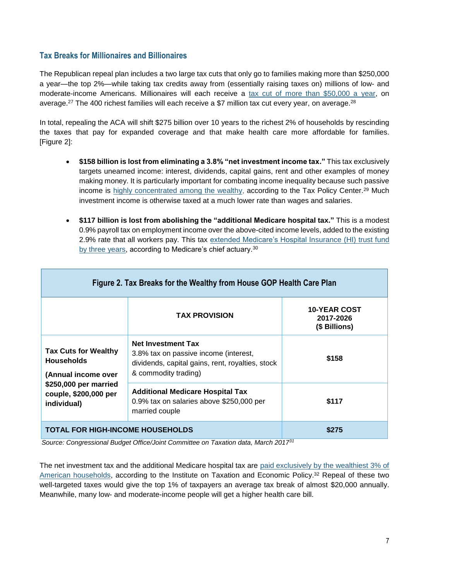#### **Tax Breaks for Millionaires and Billionaires**

The Republican repeal plan includes a two large tax cuts that only go to families making more than \$250,000 a year—the top 2%—while taking tax credits away from (essentially raising taxes on) millions of low- and moderate-income Americans. Millionaires will each receive a [tax cut of more than \\$50,000 a year,](http://www.cbpp.org/research/federal-tax/house-republicans-aca-repeal-plan-would-mean-big-tax-cuts-for-wealthy-insurers#_ftn11) on average.<sup>27</sup> The 400 richest families will each receive a \$7 million tax cut every year, on average.<sup>28</sup>

In total, repealing the ACA will shift \$275 billion over 10 years to the richest 2% of households by rescinding the taxes that pay for expanded coverage and that make health care more affordable for families. [Figure 2]:

- **\$158 billion is lost from eliminating a 3.8% "net investment income tax."** This tax exclusively targets unearned income: interest, dividends, capital gains, rent and other examples of money making money. It is particularly important for combating income inequality because such passive income is [highly concentrated among the wealthy,](http://www.taxpolicycenter.org/model-estimates/distribution-individual-income-tax-long-term-capital-gains-and-qualified-16) according to the Tax Policy Center.<sup>29</sup> Much investment income is otherwise taxed at a much lower rate than wages and salaries.
- **\$117 billion is lost from abolishing the "additional Medicare hospital tax."** This is a modest 0.9% payroll tax on employment income over the above-cited income levels, added to the existing 2.9% rate that all workers pay. This tax [extended Medicare's Hospital Insurance \(HI\) trust fund](http://www.cbpp.org/research/federal-tax/house-gop-health-plan-eliminates-two-medicare-taxes-giving-very-large-tax-cuts)  [by three years,](http://www.cbpp.org/research/federal-tax/house-gop-health-plan-eliminates-two-medicare-taxes-giving-very-large-tax-cuts) according to Medicare's chief actuary.<sup>30</sup>

| Figure 2. Tax Breaks for the Wealthy from House GOP Health Care Plan                                                                     |                                                                                                                                                |                                                   |  |
|------------------------------------------------------------------------------------------------------------------------------------------|------------------------------------------------------------------------------------------------------------------------------------------------|---------------------------------------------------|--|
|                                                                                                                                          | <b>TAX PROVISION</b>                                                                                                                           | <b>10-YEAR COST</b><br>2017-2026<br>(\$ Billions) |  |
| <b>Tax Cuts for Wealthy</b><br><b>Households</b><br>(Annual income over<br>\$250,000 per married<br>couple, \$200,000 per<br>individual) | <b>Net Investment Tax</b><br>3.8% tax on passive income (interest,<br>dividends, capital gains, rent, royalties, stock<br>& commodity trading) | \$158                                             |  |
|                                                                                                                                          | <b>Additional Medicare Hospital Tax</b><br>0.9% tax on salaries above \$250,000 per<br>married couple                                          | \$117                                             |  |
| <b>TOTAL FOR HIGH-INCOME HOUSEHOLDS</b>                                                                                                  |                                                                                                                                                | \$275                                             |  |

*Source: Congressional Budget Office/Joint Committee on Taxation data, March 2017<sup>31</sup>*

The net investment tax and the additional Medicare hospital tax are [paid exclusively by the wealthiest 3% of](http://itep.org/itep_reports/2017/03/affordable-care-act-repeal-includes-a-31-billion-tax-cut-for-a-handful-of-the-wealthiest-taxpayers-5.php#.WPFm4NIrLIW)  [American households,](http://itep.org/itep_reports/2017/03/affordable-care-act-repeal-includes-a-31-billion-tax-cut-for-a-handful-of-the-wealthiest-taxpayers-5.php#.WPFm4NIrLIW) according to the Institute on Taxation and Economic Policy.<sup>32</sup> Repeal of these two well-targeted taxes would give the top 1% of taxpayers an average tax break of almost \$20,000 annually. Meanwhile, many low- and moderate-income people will get a higher health care bill.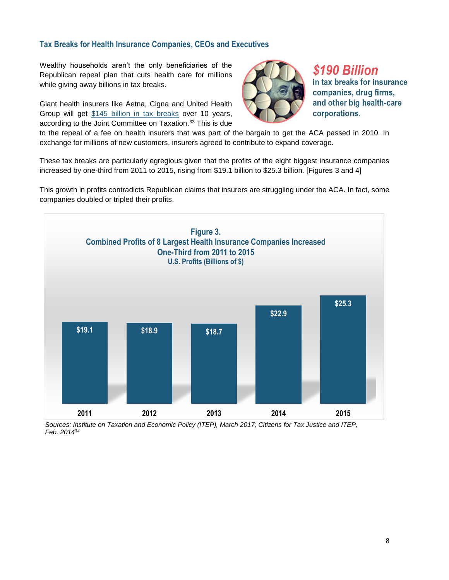### **Tax Breaks for Health Insurance Companies, CEOs and Executives**

Wealthy households aren't the only beneficiaries of the Republican repeal plan that cuts health care for millions while giving away billions in tax breaks.

Giant health insurers like Aetna, Cigna and United Health Group will get [\\$145 billion in tax breaks](https://www.jct.gov/publications.html?func=startdown&id=4982) over 10 years, according to the Joint Committee on Taxation. <sup>33</sup> This is due



\$190 Billion in tax breaks for insurance companies, drug firms, and other big health-care corporations.

to the repeal of a fee on health insurers that was part of the bargain to get the ACA passed in 2010. In exchange for millions of new customers, insurers agreed to contribute to expand coverage.

These tax breaks are particularly egregious given that the profits of the eight biggest insurance companies increased by one-third from 2011 to 2015, rising from \$19.1 billion to \$25.3 billion. [Figures 3 and 4]

This growth in profits contradicts Republican claims that insurers are struggling under the ACA. In fact, some companies doubled or tripled their profits.



 *Sources: Institute on Taxation and Economic Policy (ITEP), March 2017; Citizens for Tax Justice and ITEP, Feb. 2014<sup>34</sup>*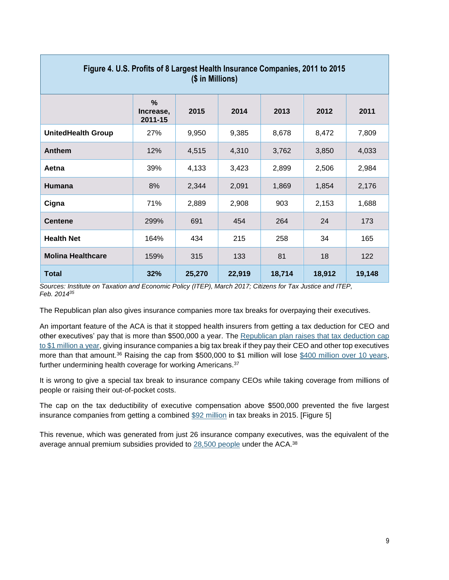| (\$ in Millions)          |                                       |        |        |        |        |        |
|---------------------------|---------------------------------------|--------|--------|--------|--------|--------|
|                           | $\frac{9}{6}$<br>Increase,<br>2011-15 | 2015   | 2014   | 2013   | 2012   | 2011   |
| <b>UnitedHealth Group</b> | 27%                                   | 9,950  | 9,385  | 8,678  | 8,472  | 7,809  |
| Anthem                    | 12%                                   | 4,515  | 4,310  | 3,762  | 3,850  | 4,033  |
| Aetna                     | 39%                                   | 4,133  | 3,423  | 2,899  | 2,506  | 2,984  |
| Humana                    | 8%                                    | 2,344  | 2,091  | 1,869  | 1,854  | 2,176  |
| Cigna                     | 71%                                   | 2,889  | 2,908  | 903    | 2,153  | 1,688  |
| <b>Centene</b>            | 299%                                  | 691    | 454    | 264    | 24     | 173    |
| <b>Health Net</b>         | 164%                                  | 434    | 215    | 258    | 34     | 165    |
| <b>Molina Healthcare</b>  | 159%                                  | 315    | 133    | 81     | 18     | 122    |
| <b>Total</b>              | 32%                                   | 25,270 | 22,919 | 18,714 | 18,912 | 19,148 |

## **Figure 4. U.S. Profits of 8 Largest Health Insurance Companies, 2011 to 2015**

*Sources: Institute on Taxation and Economic Policy (ITEP), March 2017; Citizens for Tax Justice and ITEP, Feb. 2014<sup>35</sup>*

The Republican plan also gives insurance companies more tax breaks for overpaying their executives.

An important feature of the ACA is that it stopped health insurers from getting a tax deduction for CEO and other executives' pay that is more than \$500,000 a year. The Republican plan [raises that tax deduction](http://www.ips-dc.org/wp-content/uploads/2017/03/CEO-Pay-Tax-Break-in-Republican-HC-Proposal.pdf) cap [to \\$1 million a year,](http://www.ips-dc.org/wp-content/uploads/2017/03/CEO-Pay-Tax-Break-in-Republican-HC-Proposal.pdf) giving insurance companies a big tax break if they pay their CEO and other top executives more than that amount.<sup>36</sup> Raising the cap from \$500,000 to \$1 million will lose [\\$400 million over 10 years,](https://waysandmeans.house.gov/wp-content/uploads/2017/03/20170308-JCT-Description-of-Subtitle-__-Budget-Reconciliation-Legislative-Recommendations-Relating-to-Remuneration-from-Certain-Insurers-.pdf) further undermining health coverage for working Americans.<sup>37</sup>

It is wrong to give a special tax break to insurance company CEOs while taking coverage from millions of people or raising their out-of-pocket costs.

The cap on the tax deductibility of executive compensation above \$500,000 prevented the five largest insurance companies from getting a combined [\\$92 million](http://www.ips-dc.org/wp-content/uploads/2017/03/CEO-Pay-Tax-Break-in-Republican-HC-Proposal.pdf) in tax breaks in 2015. [Figure 5]

This revenue, which was generated from just 26 insurance company executives, was the equivalent of the average annual premium subsidies provided to [28,500 people](http://www.ips-dc.org/wp-content/uploads/2017/03/CEO-Pay-Tax-Break-in-Republican-HC-Proposal.pdf) under the ACA.<sup>38</sup>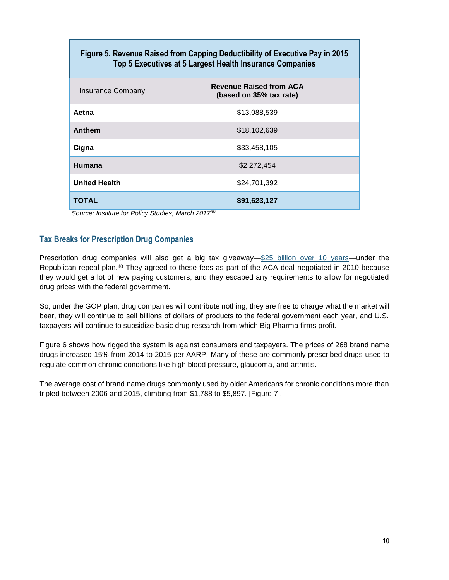| Figure 5. Revenue Raised from Capping Deductibility of Executive Pay in 2015<br>Top 5 Executives at 5 Largest Health Insurance Companies |                                                           |  |
|------------------------------------------------------------------------------------------------------------------------------------------|-----------------------------------------------------------|--|
| Insurance Company                                                                                                                        | <b>Revenue Raised from ACA</b><br>(based on 35% tax rate) |  |
| Aetna                                                                                                                                    | \$13.088.539                                              |  |
| <b>Anthem</b>                                                                                                                            | \$18,102,639                                              |  |
| Cigna                                                                                                                                    | \$33,458,105                                              |  |
| Humana                                                                                                                                   | \$2.272.454                                               |  |
| <b>United Health</b>                                                                                                                     | \$24,701,392                                              |  |
| TOTAL                                                                                                                                    | \$91,623,127                                              |  |

 *Source: Institute for Policy Studies, March 2017<sup>39</sup>*

#### **Tax Breaks for Prescription Drug Companies**

Prescription drug companies will also get a big tax giveaway[—\\$25 billion over 10 years—](https://www.cbo.gov/system/files/115th-congress-2017-2018/costestimate/americanhealthcareact.pdf)under the Republican repeal plan. <sup>40</sup> They agreed to these fees as part of the ACA deal negotiated in 2010 because they would get a lot of new paying customers, and they escaped any requirements to allow for negotiated drug prices with the federal government.

So, under the GOP plan, drug companies will contribute nothing, they are free to charge what the market will bear, they will continue to sell billions of dollars of products to the federal government each year, and U.S. taxpayers will continue to subsidize basic drug research from which Big Pharma firms profit.

Figure 6 shows how rigged the system is against consumers and taxpayers. The prices of 268 brand name drugs increased 15% from 2014 to 2015 per AARP. Many of these are commonly prescribed drugs used to regulate common chronic conditions like high blood pressure, glaucoma, and arthritis.

The average cost of brand name drugs commonly used by older Americans for chronic conditions more than tripled between 2006 and 2015, climbing from \$1,788 to \$5,897. [Figure 7].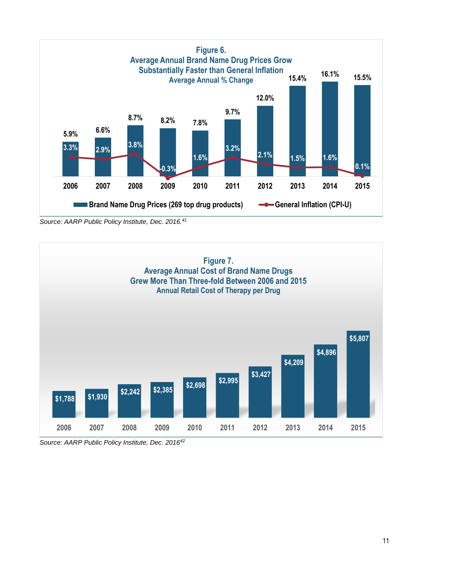

*Source: AARP Public Policy Institute, Dec. 2016.<sup>41</sup>*



*Source: AARP Public Policy Institute, Dec. 2016<sup>42</sup>*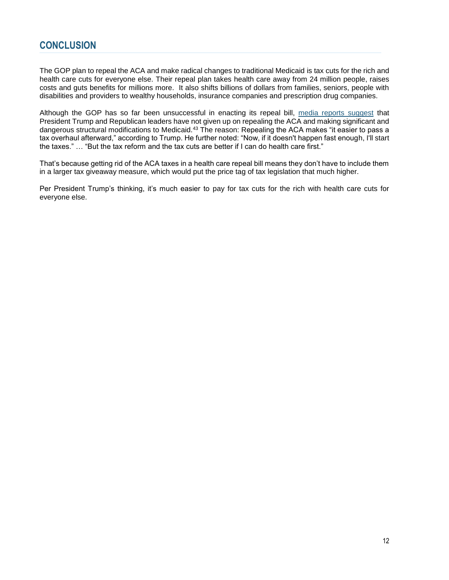### **CONCLUSION**

The GOP plan to repeal the ACA and make radical changes to traditional Medicaid is tax cuts for the rich and health care cuts for everyone else. Their repeal plan takes health care away from 24 million people, raises costs and guts benefits for millions more. It also shifts billions of dollars from families, seniors, people with disabilities and providers to wealthy households, insurance companies and prescription drug companies.

Although the GOP has so far been unsuccessful in enacting its repeal bill, [media reports suggest](http://www.politico.com/story/2017/04/trump-tax-reform-health-care-237125?cmpid=sf) that President Trump and Republican leaders have not given up on repealing the ACA and making significant and dangerous structural modifications to Medicaid.<sup>43</sup> The reason: Repealing the ACA makes "it easier to pass a tax overhaul afterward," according to Trump. He further noted: "Now, if it doesn't happen fast enough, I'll start the taxes." … "But the tax reform and the tax cuts are better if I can do health care first."

That's because getting rid of the ACA taxes in a health care repeal bill means they don't have to include them in a larger tax giveaway measure, which would put the price tag of tax legislation that much higher.

Per President Trump's thinking, it's much easier to pay for tax cuts for the rich with health care cuts for everyone else.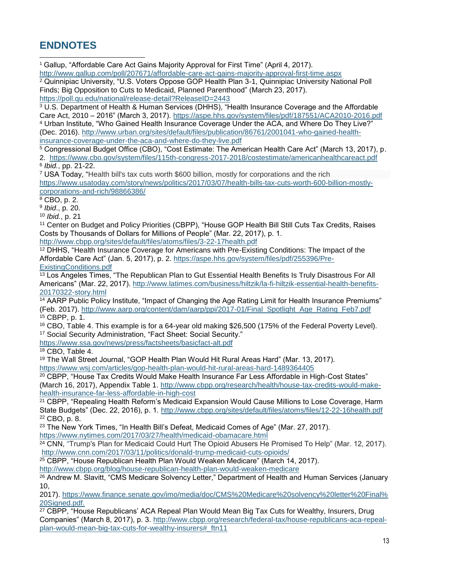## **ENDNOTES**

l

<sup>1</sup> Gallup, "Affordable Care Act Gains Majority Approval for First Time" (April 4, 2017).

<http://www.gallup.com/poll/207671/affordable-care-act-gains-majority-approval-first-time.aspx> <sup>2</sup> Quinnipiac University, "U.S. Voters Oppose GOP Health Plan 3-1, Quinnipiac University National Poll Finds; Big Opposition to Cuts to Medicaid, Planned Parenthood" (March 23, 2017). <https://poll.qu.edu/national/release-detail?ReleaseID=2443>

<sup>3</sup> U.S. Department of Health & Human Services (DHHS), "Health Insurance Coverage and the Affordable Care Act, 2010 – 2016" (March 3, 2017).<https://aspe.hhs.gov/system/files/pdf/187551/ACA2010-2016.pdf> <sup>4</sup> Urban Institute, "Who Gained Health Insurance Coverage Under the ACA, and Where Do They Live?" (Dec. 2016). [http://www.urban.org/sites/default/files/publication/86761/2001041-who-gained-health](http://www.urban.org/sites/default/files/publication/86761/2001041-who-gained-health-insurance-coverage-under-the-aca-and-where-do-they-live.pdf)[insurance-coverage-under-the-aca-and-where-do-they-live.pdf](http://www.urban.org/sites/default/files/publication/86761/2001041-who-gained-health-insurance-coverage-under-the-aca-and-where-do-they-live.pdf)

<sup>5</sup> Congressional Budget Office (CBO), "Cost Estimate: The American Health Care Act" (March 13, 2017), p. 2. https://www.cbo.gov/system/files/115th-congress-2017-2018/costestimate/americanhealthcareact.pdf

6 *Ibid.*, pp. 21-22.

<sup>7</sup> USA Today, "Health bill's tax cuts worth \$600 billion, mostly for corporations and the rich [https://www.usatoday.com/story/news/politics/2017/03/07/health-bills-tax-cuts-worth-600-billion-mostly](https://www.usatoday.com/story/news/politics/2017/03/07/health-bills-tax-cuts-worth-600-billion-mostly-corporations-and-rich/98866386/)[corporations-and-rich/98866386/](https://www.usatoday.com/story/news/politics/2017/03/07/health-bills-tax-cuts-worth-600-billion-mostly-corporations-and-rich/98866386/)

 $8$  CBO, p. 2.

9 *Ibid*., p. 20.

<sup>10</sup> *Ibid.*, p. 21

<sup>11</sup> Center on Budget and Policy Priorities (CBPP), "House GOP Health Bill Still Cuts Tax Credits, Raises Costs by Thousands of Dollars for Millions of People" (Mar. 22, 2017), p. 1.

<http://www.cbpp.org/sites/default/files/atoms/files/3-22-17health.pdf>

<sup>12</sup> DHHS, "Health Insurance Coverage for Americans with Pre-Existing Conditions: The Impact of the Affordable Care Act" (Jan. 5, 2017), p. 2. [https://aspe.hhs.gov/system/files/pdf/255396/Pre-](https://aspe.hhs.gov/system/files/pdf/255396/Pre-ExistingConditions.pdf)[ExistingConditions.pdf](https://aspe.hhs.gov/system/files/pdf/255396/Pre-ExistingConditions.pdf)

<sup>13</sup> Los Angeles Times, "The Republican Plan to Gut Essential Health Benefits Is Truly Disastrous For All Americans" (Mar. 22, 2017). [http://www.latimes.com/business/hiltzik/la-fi-hiltzik-essential-health-benefits-](http://www.latimes.com/business/hiltzik/la-fi-hiltzik-essential-health-benefits-20170322-story.html)[20170322-story.html](http://www.latimes.com/business/hiltzik/la-fi-hiltzik-essential-health-benefits-20170322-story.html)

<sup>14</sup> AARP Public Policy Institute, "Impact of Changing the Age Rating Limit for Health Insurance Premiums" (Feb. 2017). [http://www.aarp.org/content/dam/aarp/ppi/2017-01/Final\\_Spotlight\\_Age\\_Rating\\_Feb7.pdf](http://www.aarp.org/content/dam/aarp/ppi/2017-01/Final_Spotlight_Age_Rating_Feb7.pdf) <sup>15</sup> CBPP, p. 1.

<sup>16</sup> CBO, Table 4. This example is for a 64-year old making \$26,500 (175% of the Federal Poverty Level). <sup>17</sup> Social Security Administration, "Fact Sheet: Social Security."

<https://www.ssa.gov/news/press/factsheets/basicfact-alt.pdf>

<sup>18</sup> CBO, Table 4.

<sup>19</sup> The Wall Street Journal, "GOP Health Plan Would Hit Rural Areas Hard" (Mar. 13, 2017).

<https://www.wsj.com/articles/gop-health-plan-would-hit-rural-areas-hard-1489364405>

<sup>20</sup> CBPP, "House Tax Credits Would Make Health Insurance Far Less Affordable in High-Cost States" (March 16, 2017), Appendix Table 1. [http://www.cbpp.org/research/health/house-tax-credits-would-make](http://www.cbpp.org/research/health/house-tax-credits-would-make-health-insurance-far-less-affordable-in-high-cost)[health-insurance-far-less-affordable-in-high-cost](http://www.cbpp.org/research/health/house-tax-credits-would-make-health-insurance-far-less-affordable-in-high-cost)

<sup>21</sup> CBPP, "Repealing Health Reform's Medicaid Expansion Would Cause Millions to Lose Coverage, Harm State Budgets" (Dec. 22, 2016), p. 1.<http://www.cbpp.org/sites/default/files/atoms/files/12-22-16health.pdf> <sup>22</sup> CBO, p. 8.

<sup>23</sup> The New York Times, "In Health Bill's Defeat, Medicaid Comes of Age" (Mar. 27, 2017).

<https://www.nytimes.com/2017/03/27/health/medicaid-obamacare.html>

<sup>24</sup> CNN, "Trump's Plan for Medicaid Could Hurt The Opioid Abusers He Promised To Help" (Mar. 12, 2017). <http://www.cnn.com/2017/03/11/politics/donald-trump-medicaid-cuts-opioids/>

<sup>25</sup> CBPP, "House Republican Health Plan Would Weaken Medicare" (March 14, 2017).

<http://www.cbpp.org/blog/house-republican-health-plan-would-weaken-medicare>

<sup>26</sup> Andrew M. Slavitt, "CMS Medicare Solvency Letter," Department of Health and Human Services (January 10,

2017). [https://www.finance.senate.gov/imo/media/doc/CMS%20Medicare%20solvency%20letter%20Final%](https://www.finance.senate.gov/imo/media/doc/CMS%20Medicare%20solvency%20letter%20Final%20Signed.pdf) [20Signed.pdf.](https://www.finance.senate.gov/imo/media/doc/CMS%20Medicare%20solvency%20letter%20Final%20Signed.pdf)

<sup>27</sup> CBPP, "House Republicans' ACA Repeal Plan Would Mean Big Tax Cuts for Wealthy, Insurers, Drug Companies" (March 8, 2017), p. 3. [http://www.cbpp.org/research/federal-tax/house-republicans-aca-repeal](http://www.cbpp.org/research/federal-tax/house-republicans-aca-repeal-plan-would-mean-big-tax-cuts-for-wealthy-insurers#_ftn11)[plan-would-mean-big-tax-cuts-for-wealthy-insurers#\\_ftn11](http://www.cbpp.org/research/federal-tax/house-republicans-aca-repeal-plan-would-mean-big-tax-cuts-for-wealthy-insurers#_ftn11)